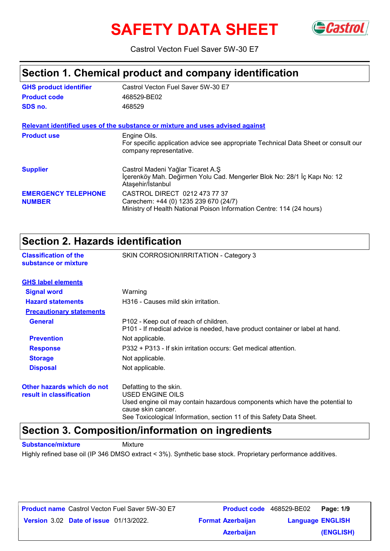# **SAFETY DATA SHEET**



Castrol Vecton Fuel Saver 5W-30 E7

### **Section 1. Chemical product and company identification**

| <b>GHS product identifier</b>               | Castrol Vecton Fuel Saver 5W-30 E7                                                                                                              |
|---------------------------------------------|-------------------------------------------------------------------------------------------------------------------------------------------------|
| <b>Product code</b>                         | 468529-BE02                                                                                                                                     |
| SDS no.                                     | 468529                                                                                                                                          |
|                                             | Relevant identified uses of the substance or mixture and uses advised against                                                                   |
| <b>Product use</b>                          | Engine Oils.<br>For specific application advice see appropriate Technical Data Sheet or consult our<br>company representative.                  |
| <b>Supplier</b>                             | Castrol Madeni Yağlar Ticaret A.Ş<br>İçerenköy Mah. Değirmen Yolu Cad. Mengerler Blok No: 28/1 İç Kapı No: 12<br>Ataşehir/İstanbul              |
| <b>EMERGENCY TELEPHONE</b><br><b>NUMBER</b> | CASTROL DIRECT 0212 473 77 37<br>Carechem: +44 (0) 1235 239 670 (24/7)<br>Ministry of Health National Poison Information Centre: 114 (24 hours) |

### **Section 2. Hazards identification**

| OGUNUT 4. HAZAI US IUGHINIUALIUM                       |                                                                                                                                                  |
|--------------------------------------------------------|--------------------------------------------------------------------------------------------------------------------------------------------------|
| <b>Classification of the</b><br>substance or mixture   | SKIN CORROSION/IRRITATION - Category 3                                                                                                           |
| <b>GHS label elements</b>                              |                                                                                                                                                  |
| <b>Signal word</b>                                     | Warning                                                                                                                                          |
| <b>Hazard statements</b>                               | H316 - Causes mild skin irritation.                                                                                                              |
| <b>Precautionary statements</b>                        |                                                                                                                                                  |
| <b>General</b>                                         | P102 - Keep out of reach of children.<br>P101 - If medical advice is needed, have product container or label at hand.                            |
| <b>Prevention</b>                                      | Not applicable.                                                                                                                                  |
| <b>Response</b>                                        | P332 + P313 - If skin irritation occurs: Get medical attention.                                                                                  |
| <b>Storage</b>                                         | Not applicable.                                                                                                                                  |
| <b>Disposal</b>                                        | Not applicable.                                                                                                                                  |
| Other hazards which do not<br>result in classification | Defatting to the skin.<br>USED ENGINE OILS<br>Used engine oil may contain hazardous components which have the potential to<br>cause skin cancer. |

See Toxicological Information, section 11 of this Safety Data Sheet.

### **Section 3. Composition/information on ingredients**

**Substance/mixture Mixture** 

Highly refined base oil (IP 346 DMSO extract < 3%). Synthetic base stock. Proprietary performance additives.

| <b>Product name</b> Castrol Vecton Fuel Saver 5W-30 E7 | <b>Product code</b> 468529-BE02 |                         | <b>Page: 1/9</b> |
|--------------------------------------------------------|---------------------------------|-------------------------|------------------|
| <b>Version 3.02 Date of issue 01/13/2022.</b>          | <b>Format Azerbaijan</b>        | <b>Language ENGLISH</b> |                  |
|                                                        | <b>Azerbaijan</b>               |                         | (ENGLISH)        |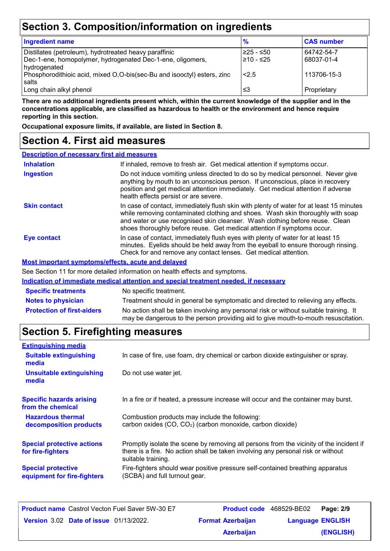# **Section 3. Composition/information on ingredients**

| <b>Ingredient name</b>                                                  | $\frac{9}{6}$ | <b>CAS number</b> |
|-------------------------------------------------------------------------|---------------|-------------------|
| Distillates (petroleum), hydrotreated heavy paraffinic                  | l≥25 - ≤50    | 64742-54-7        |
| Dec-1-ene, homopolymer, hydrogenated Dec-1-ene, oligomers,              | l≥10 - ≤25    | 68037-01-4        |
| hydrogenated                                                            |               |                   |
| Phosphorodithioic acid, mixed O,O-bis(sec-Bu and isooctyl) esters, zinc | 2.5           | 113706-15-3       |
| salts                                                                   |               |                   |
| Long chain alkyl phenol                                                 | ≤3            | Proprietary       |

**There are no additional ingredients present which, within the current knowledge of the supplier and in the concentrations applicable, are classified as hazardous to health or the environment and hence require reporting in this section.**

**Occupational exposure limits, if available, are listed in Section 8.**

### **Section 4. First aid measures**

| <b>Description of necessary first aid measures</b> |                                                                                                                                                                                                                                                                                                                                      |
|----------------------------------------------------|--------------------------------------------------------------------------------------------------------------------------------------------------------------------------------------------------------------------------------------------------------------------------------------------------------------------------------------|
| <b>Inhalation</b>                                  | If inhaled, remove to fresh air. Get medical attention if symptoms occur.                                                                                                                                                                                                                                                            |
| <b>Ingestion</b>                                   | Do not induce vomiting unless directed to do so by medical personnel. Never give<br>anything by mouth to an unconscious person. If unconscious, place in recovery<br>position and get medical attention immediately. Get medical attention if adverse<br>health effects persist or are severe.                                       |
| <b>Skin contact</b>                                | In case of contact, immediately flush skin with plenty of water for at least 15 minutes<br>while removing contaminated clothing and shoes. Wash skin thoroughly with soap<br>and water or use recognised skin cleanser. Wash clothing before reuse. Clean<br>shoes thoroughly before reuse. Get medical attention if symptoms occur. |
| <b>Eye contact</b>                                 | In case of contact, immediately flush eyes with plenty of water for at least 15<br>minutes. Eyelids should be held away from the eyeball to ensure thorough rinsing.<br>Check for and remove any contact lenses. Get medical attention.                                                                                              |
|                                                    | <b>Most important symptoms/effects, acute and delayed</b>                                                                                                                                                                                                                                                                            |
|                                                    | See Section 11 for more detailed information on booth effects and symptoms                                                                                                                                                                                                                                                           |

e Section 11 for more detailed information on health effects and symptoms.

|                                   | Indication of immediate medical attention and special treatment needed, if necessary                                                                                        |
|-----------------------------------|-----------------------------------------------------------------------------------------------------------------------------------------------------------------------------|
| <b>Specific treatments</b>        | No specific treatment.                                                                                                                                                      |
| <b>Notes to physician</b>         | Treatment should in general be symptomatic and directed to relieving any effects.                                                                                           |
| <b>Protection of first-aiders</b> | No action shall be taken involving any personal risk or without suitable training. It<br>may be dangerous to the person providing aid to give mouth-to-mouth resuscitation. |

# **Section 5. Firefighting measures**

| <b>Extinguishing media</b>                               |                                                                                                                                                                                                   |
|----------------------------------------------------------|---------------------------------------------------------------------------------------------------------------------------------------------------------------------------------------------------|
| <b>Suitable extinguishing</b><br>media                   | In case of fire, use foam, dry chemical or carbon dioxide extinguisher or spray.                                                                                                                  |
| <b>Unsuitable extinguishing</b><br>media                 | Do not use water jet.                                                                                                                                                                             |
| <b>Specific hazards arising</b><br>from the chemical     | In a fire or if heated, a pressure increase will occur and the container may burst.                                                                                                               |
| <b>Hazardous thermal</b><br>decomposition products       | Combustion products may include the following:<br>carbon oxides (CO, CO <sub>2</sub> ) (carbon monoxide, carbon dioxide)                                                                          |
| <b>Special protective actions</b><br>for fire-fighters   | Promptly isolate the scene by removing all persons from the vicinity of the incident if<br>there is a fire. No action shall be taken involving any personal risk or without<br>suitable training. |
| <b>Special protective</b><br>equipment for fire-fighters | Fire-fighters should wear positive pressure self-contained breathing apparatus<br>(SCBA) and full turnout gear.                                                                                   |

| <b>Product name</b> Castrol Vecton Fuel Saver 5W-30 E7 | <b>Product code</b> 468529-BE02 |                         | Page: 2/9 |
|--------------------------------------------------------|---------------------------------|-------------------------|-----------|
| <b>Version 3.02 Date of issue 01/13/2022.</b>          | <b>Format Azerbaijan</b>        | <b>Language ENGLISH</b> |           |
|                                                        | <b>Azerbaijan</b>               |                         | (ENGLISH) |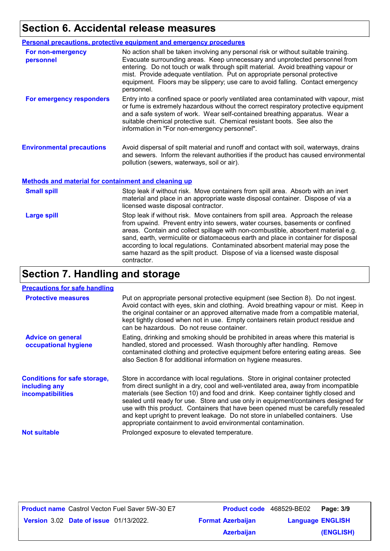# **Section 6. Accidental release measures**

|                                                             | Personal precautions, protective equipment and emergency procedures                                                                                                                                                                                                                                                                                                                                                                  |
|-------------------------------------------------------------|--------------------------------------------------------------------------------------------------------------------------------------------------------------------------------------------------------------------------------------------------------------------------------------------------------------------------------------------------------------------------------------------------------------------------------------|
| For non-emergency<br>personnel                              | No action shall be taken involving any personal risk or without suitable training.<br>Evacuate surrounding areas. Keep unnecessary and unprotected personnel from<br>entering. Do not touch or walk through spilt material. Avoid breathing vapour or<br>mist. Provide adequate ventilation. Put on appropriate personal protective<br>equipment. Floors may be slippery; use care to avoid falling. Contact emergency<br>personnel. |
| For emergency responders                                    | Entry into a confined space or poorly ventilated area contaminated with vapour, mist<br>or fume is extremely hazardous without the correct respiratory protective equipment<br>and a safe system of work. Wear self-contained breathing apparatus. Wear a<br>suitable chemical protective suit. Chemical resistant boots. See also the<br>information in "For non-emergency personnel".                                              |
| <b>Environmental precautions</b>                            | Avoid dispersal of spilt material and runoff and contact with soil, waterways, drains<br>and sewers. Inform the relevant authorities if the product has caused environmental<br>pollution (sewers, waterways, soil or air).                                                                                                                                                                                                          |
| <b>Methods and material for containment and cleaning up</b> |                                                                                                                                                                                                                                                                                                                                                                                                                                      |

| <b>Small spill</b> | Stop leak if without risk. Move containers from spill area. Absorb with an inert<br>material and place in an appropriate waste disposal container. Dispose of via a<br>licensed waste disposal contractor.                                                                                                                                                                                                                                                                                                               |
|--------------------|--------------------------------------------------------------------------------------------------------------------------------------------------------------------------------------------------------------------------------------------------------------------------------------------------------------------------------------------------------------------------------------------------------------------------------------------------------------------------------------------------------------------------|
| <b>Large spill</b> | Stop leak if without risk. Move containers from spill area. Approach the release<br>from upwind. Prevent entry into sewers, water courses, basements or confined<br>areas. Contain and collect spillage with non-combustible, absorbent material e.g.<br>sand, earth, vermiculite or diatomaceous earth and place in container for disposal<br>according to local regulations. Contaminated absorbent material may pose the<br>same hazard as the spilt product. Dispose of via a licensed waste disposal<br>contractor. |

# **Section 7. Handling and storage**

#### **Precautions for safe handling**

| <b>Protective measures</b>                                                       | Put on appropriate personal protective equipment (see Section 8). Do not ingest.<br>Avoid contact with eyes, skin and clothing. Avoid breathing vapour or mist. Keep in<br>the original container or an approved alternative made from a compatible material,<br>kept tightly closed when not in use. Empty containers retain product residue and<br>can be hazardous. Do not reuse container.                                                                                                                                                                                                 |
|----------------------------------------------------------------------------------|------------------------------------------------------------------------------------------------------------------------------------------------------------------------------------------------------------------------------------------------------------------------------------------------------------------------------------------------------------------------------------------------------------------------------------------------------------------------------------------------------------------------------------------------------------------------------------------------|
| <b>Advice on general</b><br>occupational hygiene                                 | Eating, drinking and smoking should be prohibited in areas where this material is<br>handled, stored and processed. Wash thoroughly after handling. Remove<br>contaminated clothing and protective equipment before entering eating areas. See<br>also Section 8 for additional information on hygiene measures.                                                                                                                                                                                                                                                                               |
| <b>Conditions for safe storage,</b><br>including any<br><b>incompatibilities</b> | Store in accordance with local regulations. Store in original container protected<br>from direct sunlight in a dry, cool and well-ventilated area, away from incompatible<br>materials (see Section 10) and food and drink. Keep container tightly closed and<br>sealed until ready for use. Store and use only in equipment/containers designed for<br>use with this product. Containers that have been opened must be carefully resealed<br>and kept upright to prevent leakage. Do not store in unlabelled containers. Use<br>appropriate containment to avoid environmental contamination. |
| <b>Not suitable</b>                                                              | Prolonged exposure to elevated temperature.                                                                                                                                                                                                                                                                                                                                                                                                                                                                                                                                                    |

| <b>Product name</b> Castrol Vecton Fuel Saver 5W-30 E7 |                          | Product code 468529-BE02 | Page: 3/9 |
|--------------------------------------------------------|--------------------------|--------------------------|-----------|
| <b>Version 3.02 Date of issue 01/13/2022.</b>          | <b>Format Azerbaijan</b> | <b>Language ENGLISH</b>  |           |
|                                                        | <b>Azerbaijan</b>        |                          | (ENGLISH) |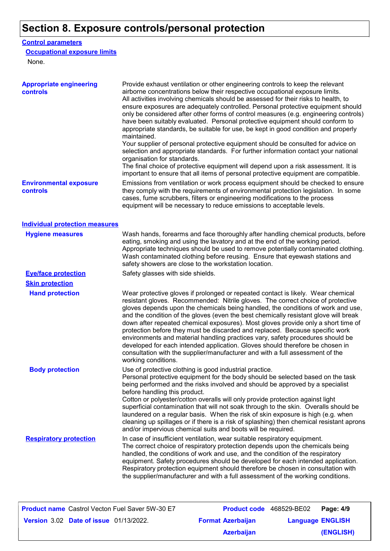# **Section 8. Exposure controls/personal protection**

#### **Control parameters**

#### **Occupational exposure limits**

None.

| <b>Appropriate engineering</b><br>controls | Provide exhaust ventilation or other engineering controls to keep the relevant<br>airborne concentrations below their respective occupational exposure limits.<br>All activities involving chemicals should be assessed for their risks to health, to<br>ensure exposures are adequately controlled. Personal protective equipment should<br>only be considered after other forms of control measures (e.g. engineering controls)<br>have been suitably evaluated. Personal protective equipment should conform to<br>appropriate standards, be suitable for use, be kept in good condition and properly<br>maintained.<br>Your supplier of personal protective equipment should be consulted for advice on<br>selection and appropriate standards. For further information contact your national<br>organisation for standards.<br>The final choice of protective equipment will depend upon a risk assessment. It is |
|--------------------------------------------|------------------------------------------------------------------------------------------------------------------------------------------------------------------------------------------------------------------------------------------------------------------------------------------------------------------------------------------------------------------------------------------------------------------------------------------------------------------------------------------------------------------------------------------------------------------------------------------------------------------------------------------------------------------------------------------------------------------------------------------------------------------------------------------------------------------------------------------------------------------------------------------------------------------------|
| <b>Environmental exposure</b><br>controls  | important to ensure that all items of personal protective equipment are compatible.<br>Emissions from ventilation or work process equipment should be checked to ensure<br>they comply with the requirements of environmental protection legislation. In some<br>cases, fume scrubbers, filters or engineering modifications to the process<br>equipment will be necessary to reduce emissions to acceptable levels.                                                                                                                                                                                                                                                                                                                                                                                                                                                                                                   |
| <b>Individual protection measures</b>      |                                                                                                                                                                                                                                                                                                                                                                                                                                                                                                                                                                                                                                                                                                                                                                                                                                                                                                                        |
| <b>Hygiene measures</b>                    | Wash hands, forearms and face thoroughly after handling chemical products, before<br>eating, smoking and using the lavatory and at the end of the working period.<br>Appropriate techniques should be used to remove potentially contaminated clothing.<br>Wash contaminated clothing before reusing. Ensure that eyewash stations and<br>safety showers are close to the workstation location.                                                                                                                                                                                                                                                                                                                                                                                                                                                                                                                        |
| <b>Eye/face protection</b>                 | Safety glasses with side shields.                                                                                                                                                                                                                                                                                                                                                                                                                                                                                                                                                                                                                                                                                                                                                                                                                                                                                      |
| <b>Skin protection</b>                     |                                                                                                                                                                                                                                                                                                                                                                                                                                                                                                                                                                                                                                                                                                                                                                                                                                                                                                                        |
| <b>Hand protection</b>                     | Wear protective gloves if prolonged or repeated contact is likely. Wear chemical<br>resistant gloves. Recommended: Nitrile gloves. The correct choice of protective<br>gloves depends upon the chemicals being handled, the conditions of work and use,<br>and the condition of the gloves (even the best chemically resistant glove will break<br>down after repeated chemical exposures). Most gloves provide only a short time of<br>protection before they must be discarded and replaced. Because specific work<br>environments and material handling practices vary, safety procedures should be<br>developed for each intended application. Gloves should therefore be chosen in<br>consultation with the supplier/manufacturer and with a full assessment of the<br>working conditions.                                                                                                                        |
| <b>Body protection</b>                     | Use of protective clothing is good industrial practice.<br>Personal protective equipment for the body should be selected based on the task<br>being performed and the risks involved and should be approved by a specialist<br>before handling this product.<br>Cotton or polyester/cotton overalls will only provide protection against light<br>superficial contamination that will not soak through to the skin. Overalls should be<br>laundered on a regular basis. When the risk of skin exposure is high (e.g. when<br>cleaning up spillages or if there is a risk of splashing) then chemical resistant aprons<br>and/or impervious chemical suits and boots will be required.                                                                                                                                                                                                                                  |
| <b>Respiratory protection</b>              | In case of insufficient ventilation, wear suitable respiratory equipment.<br>The correct choice of respiratory protection depends upon the chemicals being<br>handled, the conditions of work and use, and the condition of the respiratory<br>equipment. Safety procedures should be developed for each intended application.<br>Respiratory protection equipment should therefore be chosen in consultation with<br>the supplier/manufacturer and with a full assessment of the working conditions.                                                                                                                                                                                                                                                                                                                                                                                                                  |

| <b>Product name</b> Castrol Vecton Fuel Saver 5W-30 E7 |                          | <b>Product code</b> 468529-BE02 | Page: 4/9 |
|--------------------------------------------------------|--------------------------|---------------------------------|-----------|
| <b>Version 3.02 Date of issue 01/13/2022.</b>          | <b>Format Azerbaijan</b> | <b>Language ENGLISH</b>         |           |
|                                                        | <b>Azerbaijan</b>        |                                 | (ENGLISH) |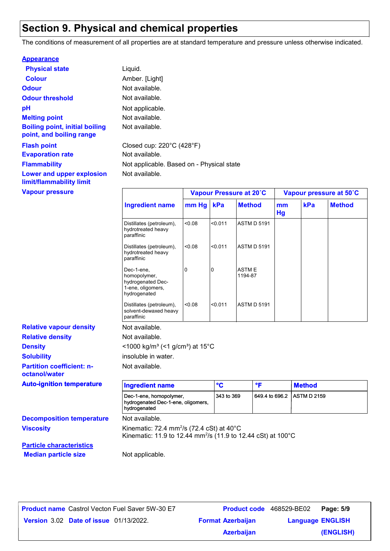# **Section 9. Physical and chemical properties**

The conditions of measurement of all properties are at standard temperature and pressure unless otherwise indicated.

| <b>Appearance</b>                                                 |                                                |                         |
|-------------------------------------------------------------------|------------------------------------------------|-------------------------|
| <b>Physical state</b>                                             | Liquid.                                        |                         |
| <b>Colour</b>                                                     | Amber. [Light]                                 |                         |
| <b>Odour</b>                                                      | Not available.                                 |                         |
| <b>Odour threshold</b>                                            | Not available.                                 |                         |
| рH                                                                | Not applicable.                                |                         |
| <b>Melting point</b>                                              | Not available.                                 |                         |
| <b>Boiling point, initial boiling</b><br>point, and boiling range | Not available.                                 |                         |
| <b>Flash point</b>                                                | Closed cup: $220^{\circ}$ C (428 $^{\circ}$ F) |                         |
| <b>Evaporation rate</b>                                           | Not available.                                 |                         |
| <b>Flammability</b>                                               | Not applicable. Based on - Physical state      |                         |
| Lower and upper explosion<br>limit/flammability limit             | Not available.                                 |                         |
| <b>Vapour pressure</b>                                            |                                                | Vapour Pressure at 20°C |

|                                                                                      | Vapour Pressure at 20°C |         | Vapour pressure at 50°C |          |     |               |
|--------------------------------------------------------------------------------------|-------------------------|---------|-------------------------|----------|-----|---------------|
| <b>Ingredient name</b>                                                               | mm Hg                   | kPa     | <b>Method</b>           | mm<br>Hg | kPa | <b>Method</b> |
| Distillates (petroleum),<br>hydrotreated heavy<br>paraffinic                         | <0.08                   | < 0.011 | <b>ASTM D 5191</b>      |          |     |               |
| Distillates (petroleum),<br>hydrotreated heavy<br>paraffinic                         | < 0.08                  | < 0.011 | <b>ASTM D 5191</b>      |          |     |               |
| Dec-1-ene,<br>homopolymer,<br>hydrogenated Dec-<br>1-ene, oligomers,<br>hydrogenated | 0                       | 0       | <b>ASTME</b><br>1194-87 |          |     |               |
| Distillates (petroleum),<br>solvent-dewaxed heavy<br>paraffinic                      | < 0.08                  | < 0.011 | <b>ASTM D 5191</b>      |          |     |               |

**Relative density Solubility Partition coefficient: noctanol/water Density Density** <1000 kg/m<sup>3</sup> (<1 g/cm<sup>3</sup>) at 15°C **Relative vapour density**

| <b>Auto-ignition temperature</b> | <b>Ingredient name</b>                                                                                                                      | °C         | ۰F                         | <b>Method</b> |
|----------------------------------|---------------------------------------------------------------------------------------------------------------------------------------------|------------|----------------------------|---------------|
|                                  | Dec-1-ene, homopolymer,<br>hydrogenated Dec-1-ene, oligomers,<br>hydrogenated                                                               | 343 to 369 | 649.4 to 696.2 ASTM D 2159 |               |
| <b>Decomposition temperature</b> | Not available.                                                                                                                              |            |                            |               |
| <b>Viscosity</b>                 | Kinematic: 72.4 mm <sup>2</sup> /s (72.4 cSt) at $40^{\circ}$ C<br>Kinematic: 11.9 to 12.44 mm <sup>2</sup> /s (11.9 to 12.44 cSt) at 100°C |            |                            |               |
| <b>Particle characteristics</b>  |                                                                                                                                             |            |                            |               |
|                                  |                                                                                                                                             |            |                            |               |

**Partic Median particle size** Not applicable.

insoluble in water.

Not available.

| <b>Product name</b> Castrol Vecton Fuel Saver 5W-30 E7 | <b>Product code</b> 468529-BE02 |                         | Page: 5/9 |  |
|--------------------------------------------------------|---------------------------------|-------------------------|-----------|--|
| <b>Version 3.02 Date of issue 01/13/2022.</b>          | <b>Format Azerbaijan</b>        | <b>Language ENGLISH</b> |           |  |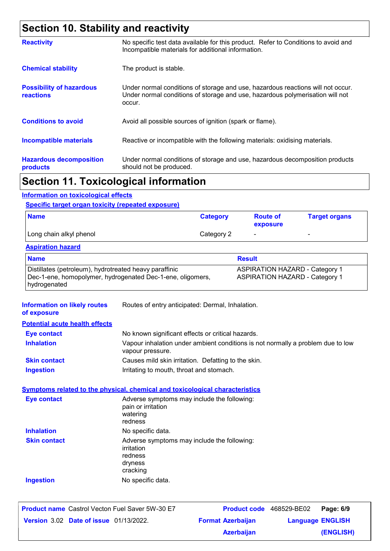# **Section 10. Stability and reactivity**

| <b>Reactivity</b>                                   | No specific test data available for this product. Refer to Conditions to avoid and<br>Incompatible materials for additional information.                                   |
|-----------------------------------------------------|----------------------------------------------------------------------------------------------------------------------------------------------------------------------------|
| <b>Chemical stability</b>                           | The product is stable.                                                                                                                                                     |
| <b>Possibility of hazardous</b><br><b>reactions</b> | Under normal conditions of storage and use, hazardous reactions will not occur.<br>Under normal conditions of storage and use, hazardous polymerisation will not<br>occur. |
| <b>Conditions to avoid</b>                          | Avoid all possible sources of ignition (spark or flame).                                                                                                                   |
| <b>Incompatible materials</b>                       | Reactive or incompatible with the following materials: oxidising materials.                                                                                                |
| <b>Hazardous decomposition</b><br>products          | Under normal conditions of storage and use, hazardous decomposition products<br>should not be produced.                                                                    |
|                                                     |                                                                                                                                                                            |

### **Section 11. Toxicological information**

#### **Information on toxicological effects**

#### **Specific target organ toxicity (repeated exposure)**

| <b>Name</b>             | <b>Category</b> | <b>Route of</b><br>exposure | <b>Target organs</b>     |
|-------------------------|-----------------|-----------------------------|--------------------------|
| Long chain alkyl phenol | Category 2      | $\overline{\phantom{0}}$    | $\overline{\phantom{0}}$ |

#### **Aspiration hazard**

| <b>Name</b>                                                | <b>Result</b>                         |
|------------------------------------------------------------|---------------------------------------|
| Distillates (petroleum), hydrotreated heavy paraffinic     | <b>ASPIRATION HAZARD - Category 1</b> |
| Dec-1-ene, homopolymer, hydrogenated Dec-1-ene, oligomers, | <b>ASPIRATION HAZARD - Category 1</b> |
| hydrogenated                                               |                                       |

| <b>Information on likely routes</b><br>of exposure | Routes of entry anticipated: Dermal, Inhalation.                                                    |
|----------------------------------------------------|-----------------------------------------------------------------------------------------------------|
| <b>Potential acute health effects</b>              |                                                                                                     |
| <b>Eye contact</b>                                 | No known significant effects or critical hazards.                                                   |
| <b>Inhalation</b>                                  | Vapour inhalation under ambient conditions is not normally a problem due to low<br>vapour pressure. |
| <b>Skin contact</b>                                | Causes mild skin irritation. Defatting to the skin.                                                 |
| <b>Ingestion</b>                                   | Irritating to mouth, throat and stomach.                                                            |
|                                                    | <b>Symptoms related to the physical, chemical and toxicological characteristics</b>                 |
| Eye contact                                        | Adverse symptoms may include the following:<br>pain or irritation<br>watering<br>redness            |
| <b>Inhalation</b>                                  | No specific data.                                                                                   |
| <b>Skin contact</b>                                | Adverse symptoms may include the following:<br>irritation<br>redness<br>dryness<br>cracking         |
| <b>Ingestion</b>                                   | No specific data.                                                                                   |
|                                                    |                                                                                                     |

| <b>Product name</b> Castrol Vecton Fuel Saver 5W-30 E7 |                          | <b>Product code</b> 468529-BE02 | Page: 6/9 |
|--------------------------------------------------------|--------------------------|---------------------------------|-----------|
| <b>Version 3.02 Date of issue 01/13/2022.</b>          | <b>Format Azerbaijan</b> | <b>Language ENGLISH</b>         |           |
|                                                        | <b>Azerbaijan</b>        |                                 | (ENGLISH) |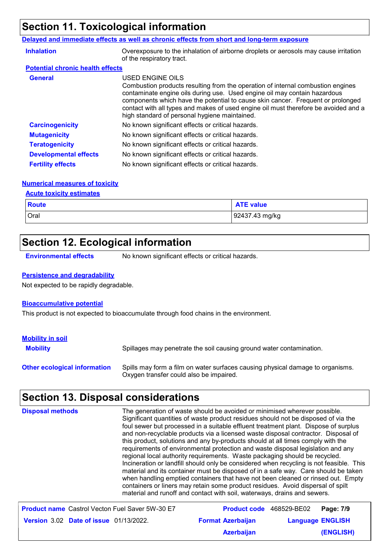# **Section 11. Toxicological information**

#### **Delayed and immediate effects as well as chronic effects from short and long-term exposure**

| <b>Inhalation</b>                       | Overexposure to the inhalation of airborne droplets or aerosols may cause irritation<br>of the respiratory tract.                                                                                                                                                                                                                                                                                           |
|-----------------------------------------|-------------------------------------------------------------------------------------------------------------------------------------------------------------------------------------------------------------------------------------------------------------------------------------------------------------------------------------------------------------------------------------------------------------|
| <b>Potential chronic health effects</b> |                                                                                                                                                                                                                                                                                                                                                                                                             |
| <b>General</b>                          | USED ENGINE OILS<br>Combustion products resulting from the operation of internal combustion engines<br>contaminate engine oils during use. Used engine oil may contain hazardous<br>components which have the potential to cause skin cancer. Frequent or prolonged<br>contact with all types and makes of used engine oil must therefore be avoided and a<br>high standard of personal hygiene maintained. |
| <b>Carcinogenicity</b>                  | No known significant effects or critical hazards.                                                                                                                                                                                                                                                                                                                                                           |
| <b>Mutagenicity</b>                     | No known significant effects or critical hazards.                                                                                                                                                                                                                                                                                                                                                           |
| <b>Teratogenicity</b>                   | No known significant effects or critical hazards.                                                                                                                                                                                                                                                                                                                                                           |
| <b>Developmental effects</b>            | No known significant effects or critical hazards.                                                                                                                                                                                                                                                                                                                                                           |
| <b>Fertility effects</b>                | No known significant effects or critical hazards.                                                                                                                                                                                                                                                                                                                                                           |

#### **Numerical measures of toxicity**

#### **Acute toxicity estimates**

| <b>Route</b> | <b>ATE value</b> |
|--------------|------------------|
| Oral         | 92437.43 mg/kg   |

# **Section 12. Ecological information**

**Environmental effects** No known significant effects or critical hazards.

#### **Persistence and degradability**

Not expected to be rapidly degradable.

#### **Bioaccumulative potential**

This product is not expected to bioaccumulate through food chains in the environment.

| <b>Mobility in soil</b>             |                                                                                                                           |
|-------------------------------------|---------------------------------------------------------------------------------------------------------------------------|
| <b>Mobility</b>                     | Spillages may penetrate the soil causing ground water contamination.                                                      |
| <b>Other ecological information</b> | Spills may form a film on water surfaces causing physical damage to organisms.<br>Oxygen transfer could also be impaired. |

# **Section 13. Disposal considerations**

| <b>Disposal methods</b>                                | The generation of waste should be avoided or minimised wherever possible.<br>Significant quantities of waste product residues should not be disposed of via the<br>foul sewer but processed in a suitable effluent treatment plant. Dispose of surplus<br>and non-recyclable products via a licensed waste disposal contractor. Disposal of<br>this product, solutions and any by-products should at all times comply with the<br>requirements of environmental protection and waste disposal legislation and any<br>regional local authority requirements. Waste packaging should be recycled.<br>Incineration or landfill should only be considered when recycling is not feasible. This<br>material and its container must be disposed of in a safe way. Care should be taken<br>when handling emptied containers that have not been cleaned or rinsed out. Empty<br>containers or liners may retain some product residues. Avoid dispersal of spilt<br>material and runoff and contact with soil, waterways, drains and sewers. |                         |
|--------------------------------------------------------|-------------------------------------------------------------------------------------------------------------------------------------------------------------------------------------------------------------------------------------------------------------------------------------------------------------------------------------------------------------------------------------------------------------------------------------------------------------------------------------------------------------------------------------------------------------------------------------------------------------------------------------------------------------------------------------------------------------------------------------------------------------------------------------------------------------------------------------------------------------------------------------------------------------------------------------------------------------------------------------------------------------------------------------|-------------------------|
| <b>Product name</b> Castrol Vecton Fuel Saver 5W-30 E7 | <b>Product code</b> 468529-BE02                                                                                                                                                                                                                                                                                                                                                                                                                                                                                                                                                                                                                                                                                                                                                                                                                                                                                                                                                                                                     | Page: 7/9               |
| <b>Version 3.02 Date of issue 01/13/2022.</b>          | <b>Format Azerbaijan</b>                                                                                                                                                                                                                                                                                                                                                                                                                                                                                                                                                                                                                                                                                                                                                                                                                                                                                                                                                                                                            | <b>Language ENGLISH</b> |
|                                                        | <b>Azerbaijan</b>                                                                                                                                                                                                                                                                                                                                                                                                                                                                                                                                                                                                                                                                                                                                                                                                                                                                                                                                                                                                                   | <b>(ENGLISH)</b>        |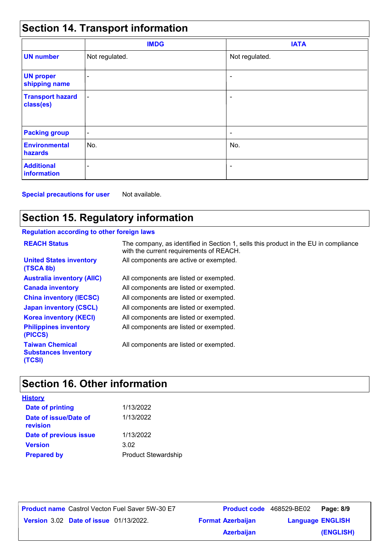# **Section 14. Transport information**

|                                      | <b>IMDG</b>              | <b>IATA</b>              |  |
|--------------------------------------|--------------------------|--------------------------|--|
| <b>UN number</b>                     | Not regulated.           | Not regulated.           |  |
| <b>UN proper</b><br>shipping name    | $\overline{\phantom{0}}$ | $\overline{\phantom{0}}$ |  |
| <b>Transport hazard</b><br>class(es) | $\blacksquare$           | ۰                        |  |
| <b>Packing group</b>                 | $\overline{\phantom{a}}$ | ۰                        |  |
| <b>Environmental</b><br>hazards      | No.                      | No.                      |  |
| <b>Additional</b><br>information     | $\overline{\phantom{0}}$ | $\overline{\phantom{a}}$ |  |

**Special precautions for user** Not available.

# **Section 15. Regulatory information**

#### **Regulation according to other foreign laws**

| <b>REACH Status</b>                                             | The company, as identified in Section 1, sells this product in the EU in compliance<br>with the current requirements of REACH. |
|-----------------------------------------------------------------|--------------------------------------------------------------------------------------------------------------------------------|
| <b>United States inventory</b><br>(TSCA 8b)                     | All components are active or exempted.                                                                                         |
| <b>Australia inventory (AIIC)</b>                               | All components are listed or exempted.                                                                                         |
| <b>Canada inventory</b>                                         | All components are listed or exempted.                                                                                         |
| <b>China inventory (IECSC)</b>                                  | All components are listed or exempted.                                                                                         |
| <b>Japan inventory (CSCL)</b>                                   | All components are listed or exempted.                                                                                         |
| <b>Korea inventory (KECI)</b>                                   | All components are listed or exempted.                                                                                         |
| <b>Philippines inventory</b><br>(PICCS)                         | All components are listed or exempted.                                                                                         |
| <b>Taiwan Chemical</b><br><b>Substances Inventory</b><br>(TCSI) | All components are listed or exempted.                                                                                         |

# **Section 16. Other information**

| <b>History</b>                    |                            |
|-----------------------------------|----------------------------|
| <b>Date of printing</b>           | 1/13/2022                  |
| Date of issue/Date of<br>revision | 1/13/2022                  |
| Date of previous issue            | 1/13/2022                  |
| <b>Version</b>                    | 3.02                       |
| <b>Prepared by</b>                | <b>Product Stewardship</b> |

**Date of issue** 01/13/2022. **Version** 3.02 **Format Azerbaijan Language Product name** Castrol Vecton Fuel Saver 5W-30 E7 **Product code** 468529-BE02 **Page: 8/9** | **Language ENGLISH (ENGLISH)** Product code 468529-BE02 Page: 8/9 **Azerbaijan**